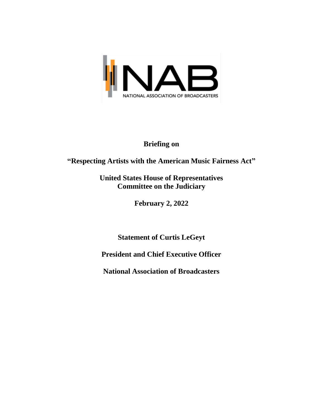

# **Briefing on**

# **"Respecting Artists with the American Music Fairness Act"**

# **United States House of Representatives Committee on the Judiciary**

**February 2, 2022**

**Statement of Curtis LeGeyt**

**President and Chief Executive Officer**

**National Association of Broadcasters**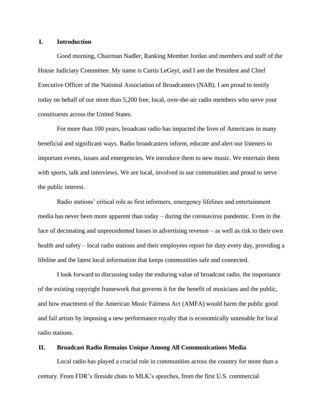#### **I. Introduction**

Good morning, Chairman Nadler, Ranking Member Jordan and members and staff of the House Judiciary Committee. My name is Curtis LeGeyt, and I am the President and Chief Executive Officer of the National Association of Broadcasters (NAB). I am proud to testify today on behalf of our more than 5,200 free, local, over-the-air radio members who serve your constituents across the United States.

For more than 100 years, broadcast radio has impacted the lives of Americans in many beneficial and significant ways. Radio broadcasters inform, educate and alert our listeners to important events, issues and emergencies. We introduce them to new music. We entertain them with sports, talk and interviews. We are local, involved in our communities and proud to serve the public interest.

Radio stations' critical role as first informers, emergency lifelines and entertainment media has never been more apparent than today – during the coronavirus pandemic. Even in the face of decimating and unprecedented losses in advertising revenue – as well as risk to their own health and safety – local radio stations and their employees report for duty every day, providing a lifeline and the latest local information that keeps communities safe and connected.

I look forward to discussing today the enduring value of broadcast radio, the importance of the existing copyright framework that governs it for the benefit of musicians and the public, and how enactment of the American Music Fairness Act (AMFA) would harm the public good and fail artists by imposing a new performance royalty that is economically untenable for local radio stations.

#### **II. Broadcast Radio Remains Unique Among All Communications Media**

Local radio has played a crucial role in communities across the country for more than a century. From FDR's fireside chats to MLK's speeches, from the first U.S. commercial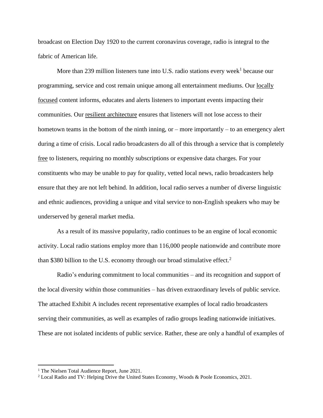broadcast on Election Day 1920 to the current coronavirus coverage, radio is integral to the fabric of American life.

More than 239 million listeners tune into U.S. radio stations every week<sup>1</sup> because our programming, service and cost remain unique among all entertainment mediums. Our locally focused content informs, educates and alerts listeners to important events impacting their communities. Our resilient architecture ensures that listeners will not lose access to their hometown teams in the bottom of the ninth inning, or – more importantly – to an emergency alert during a time of crisis. Local radio broadcasters do all of this through a service that is completely free to listeners, requiring no monthly subscriptions or expensive data charges. For your constituents who may be unable to pay for quality, vetted local news, radio broadcasters help ensure that they are not left behind. In addition, local radio serves a number of diverse linguistic and ethnic audiences, providing a unique and vital service to non-English speakers who may be underserved by general market media.

As a result of its massive popularity, radio continues to be an engine of local economic activity. Local radio stations employ more than 116,000 people nationwide and contribute more than \$380 billion to the U.S. economy through our broad stimulative effect.<sup>2</sup>

Radio's enduring commitment to local communities – and its recognition and support of the local diversity within those communities – has driven extraordinary levels of public service. The attached Exhibit A includes recent representative examples of local radio broadcasters serving their communities, as well as examples of radio groups leading nationwide initiatives. These are not isolated incidents of public service. Rather, these are only a handful of examples of

<sup>&</sup>lt;sup>1</sup> The Nielsen Total Audience Report, June 2021.

<sup>2</sup> Local Radio and TV: Helping Drive the United States Economy, Woods & Poole Economics, 2021.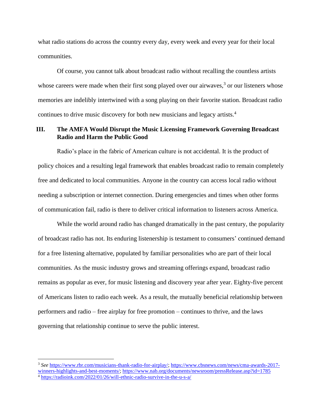what radio stations do across the country every day, every week and every year for their local communities.

Of course, you cannot talk about broadcast radio without recalling the countless artists whose careers were made when their first song played over our airwaves, $3$  or our listeners whose memories are indelibly intertwined with a song playing on their favorite station. Broadcast radio continues to drive music discovery for both new musicians and legacy artists.<sup>4</sup>

### **III. The AMFA Would Disrupt the Music Licensing Framework Governing Broadcast Radio and Harm the Public Good**

Radio's place in the fabric of American culture is not accidental. It is the product of policy choices and a resulting legal framework that enables broadcast radio to remain completely free and dedicated to local communities. Anyone in the country can access local radio without needing a subscription or internet connection. During emergencies and times when other forms of communication fail, radio is there to deliver critical information to listeners across America.

While the world around radio has changed dramatically in the past century, the popularity of broadcast radio has not. Its enduring listenership is testament to consumers' continued demand for a free listening alternative, populated by familiar personalities who are part of their local communities. As the music industry grows and streaming offerings expand, broadcast radio remains as popular as ever, for music listening and discovery year after year. Eighty-five percent of Americans listen to radio each week. As a result, the mutually beneficial relationship between performers and radio – free airplay for free promotion – continues to thrive, and the laws governing that relationship continue to serve the public interest.

<sup>3</sup> *See* [https://www.rbr.com/musicians-thank-radio-for-airplay/;](https://www.rbr.com/musicians-thank-radio-for-airplay/) [https://www.cbsnews.com/news/cma-awards-2017](https://www.cbsnews.com/news/cma-awards-2017-winners-highlights-and-best-moments/) [winners-highlights-and-best-moments/;](https://www.cbsnews.com/news/cma-awards-2017-winners-highlights-and-best-moments/)<https://www.nab.org/documents/newsroom/pressRelease.asp?id=1785> <sup>4</sup> <https://radioink.com/2022/01/26/will-ethnic-radio-survive-in-the-u-s-a/>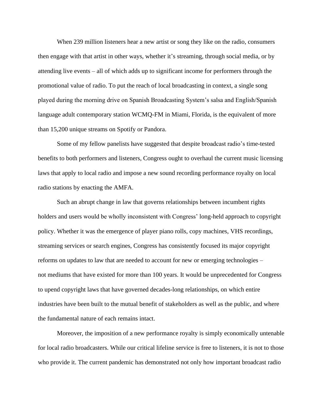When 239 million listeners hear a new artist or song they like on the radio, consumers then engage with that artist in other ways, whether it's streaming, through social media, or by attending live events – all of which adds up to significant income for performers through the promotional value of radio. To put the reach of local broadcasting in context, a single song played during the morning drive on Spanish Broadcasting System's salsa and English/Spanish language adult contemporary station WCMQ-FM in Miami, Florida, is the equivalent of more than 15,200 unique streams on Spotify or Pandora.

Some of my fellow panelists have suggested that despite broadcast radio's time-tested benefits to both performers and listeners, Congress ought to overhaul the current music licensing laws that apply to local radio and impose a new sound recording performance royalty on local radio stations by enacting the AMFA.

Such an abrupt change in law that governs relationships between incumbent rights holders and users would be wholly inconsistent with Congress' long-held approach to copyright policy. Whether it was the emergence of player piano rolls, copy machines, VHS recordings, streaming services or search engines, Congress has consistently focused its major copyright reforms on updates to law that are needed to account for new or emerging technologies – not mediums that have existed for more than 100 years. It would be unprecedented for Congress to upend copyright laws that have governed decades-long relationships, on which entire industries have been built to the mutual benefit of stakeholders as well as the public, and where the fundamental nature of each remains intact.

Moreover, the imposition of a new performance royalty is simply economically untenable for local radio broadcasters. While our critical lifeline service is free to listeners, it is not to those who provide it. The current pandemic has demonstrated not only how important broadcast radio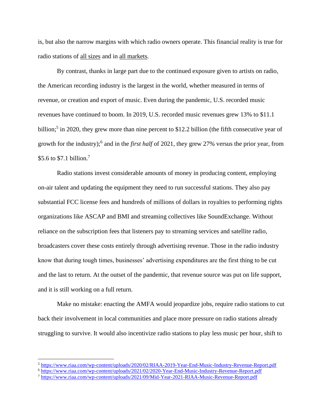is, but also the narrow margins with which radio owners operate. This financial reality is true for radio stations of all sizes and in all markets.

By contrast, thanks in large part due to the continued exposure given to artists on radio, the American recording industry is the largest in the world, whether measured in terms of revenue, or creation and export of music. Even during the pandemic, U.S. recorded music revenues have continued to boom. In 2019, U.S. recorded music revenues grew 13% to \$11.1 billion;<sup>5</sup> in 2020, they grew more than nine percent to \$12.2 billion (the fifth consecutive year of growth for the industry); 6 and in the *first half* of 2021, they grew 27% versus the prior year, from \$5.6 to \$7.1 billion.<sup>7</sup>

Radio stations invest considerable amounts of money in producing content, employing on-air talent and updating the equipment they need to run successful stations. They also pay substantial FCC license fees and hundreds of millions of dollars in royalties to performing rights organizations like ASCAP and BMI and streaming collectives like SoundExchange. Without reliance on the subscription fees that listeners pay to streaming services and satellite radio, broadcasters cover these costs entirely through advertising revenue. Those in the radio industry know that during tough times, businesses' advertising expenditures are the first thing to be cut and the last to return. At the outset of the pandemic, that revenue source was put on life support, and it is still working on a full return.

Make no mistake: enacting the AMFA would jeopardize jobs, require radio stations to cut back their involvement in local communities and place more pressure on radio stations already struggling to survive. It would also incentivize radio stations to play less music per hour, shift to

<sup>5</sup> <https://www.riaa.com/wp-content/uploads/2020/02/RIAA-2019-Year-End-Music-Industry-Revenue-Report.pdf>

<sup>6</sup> <https://www.riaa.com/wp-content/uploads/2021/02/2020-Year-End-Music-Industry-Revenue-Report.pdf>

<sup>7</sup> <https://www.riaa.com/wp-content/uploads/2021/09/Mid-Year-2021-RIAA-Music-Revenue-Report.pdf>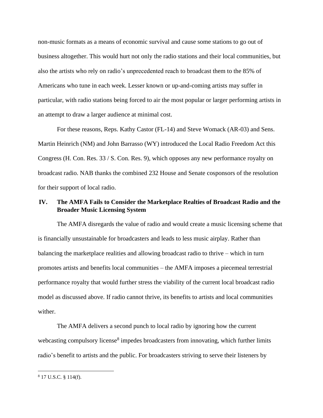non-music formats as a means of economic survival and cause some stations to go out of business altogether. This would hurt not only the radio stations and their local communities, but also the artists who rely on radio's unprecedented reach to broadcast them to the 85% of Americans who tune in each week. Lesser known or up-and-coming artists may suffer in particular, with radio stations being forced to air the most popular or larger performing artists in an attempt to draw a larger audience at minimal cost.

For these reasons, Reps. Kathy Castor (FL-14) and Steve Womack (AR-03) and Sens. Martin Heinrich (NM) and John Barrasso (WY) introduced the Local Radio Freedom Act this Congress (H. Con. Res. 33 / S. Con. Res. 9), which opposes any new performance royalty on broadcast radio. NAB thanks the combined 232 House and Senate cosponsors of the resolution for their support of local radio.

## **IV. The AMFA Fails to Consider the Marketplace Realties of Broadcast Radio and the Broader Music Licensing System**

The AMFA disregards the value of radio and would create a music licensing scheme that is financially unsustainable for broadcasters and leads to less music airplay. Rather than balancing the marketplace realities and allowing broadcast radio to thrive – which in turn promotes artists and benefits local communities – the AMFA imposes a piecemeal terrestrial performance royalty that would further stress the viability of the current local broadcast radio model as discussed above. If radio cannot thrive, its benefits to artists and local communities wither.

The AMFA delivers a second punch to local radio by ignoring how the current webcasting compulsory license<sup>8</sup> impedes broadcasters from innovating, which further limits radio's benefit to artists and the public. For broadcasters striving to serve their listeners by

<sup>8</sup> 17 U.S.C. § 114(f).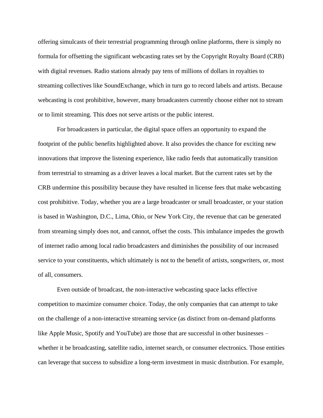offering simulcasts of their terrestrial programming through online platforms, there is simply no formula for offsetting the significant webcasting rates set by the Copyright Royalty Board (CRB) with digital revenues. Radio stations already pay tens of millions of dollars in royalties to streaming collectives like SoundExchange, which in turn go to record labels and artists. Because webcasting is cost prohibitive, however, many broadcasters currently choose either not to stream or to limit streaming. This does not serve artists or the public interest.

For broadcasters in particular, the digital space offers an opportunity to expand the footprint of the public benefits highlighted above. It also provides the chance for exciting new innovations that improve the listening experience, like radio feeds that automatically transition from terrestrial to streaming as a driver leaves a local market. But the current rates set by the CRB undermine this possibility because they have resulted in license fees that make webcasting cost prohibitive. Today, whether you are a large broadcaster or small broadcaster, or your station is based in Washington, D.C., Lima, Ohio, or New York City, the revenue that can be generated from streaming simply does not, and cannot, offset the costs. This imbalance impedes the growth of internet radio among local radio broadcasters and diminishes the possibility of our increased service to your constituents, which ultimately is not to the benefit of artists, songwriters, or, most of all, consumers.

Even outside of broadcast, the non-interactive webcasting space lacks effective competition to maximize consumer choice. Today, the only companies that can attempt to take on the challenge of a non-interactive streaming service (as distinct from on-demand platforms like Apple Music, Spotify and YouTube) are those that are successful in other businesses – whether it be broadcasting, satellite radio, internet search, or consumer electronics. Those entities can leverage that success to subsidize a long-term investment in music distribution. For example,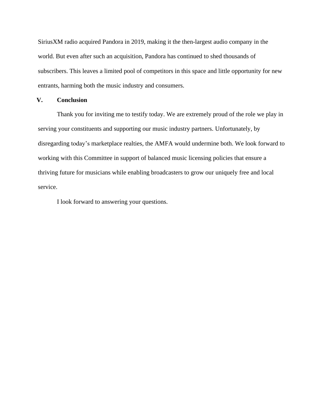SiriusXM radio acquired Pandora in 2019, making it the then-largest audio company in the world. But even after such an acquisition, Pandora has continued to shed thousands of subscribers. This leaves a limited pool of competitors in this space and little opportunity for new entrants, harming both the music industry and consumers.

### **V. Conclusion**

Thank you for inviting me to testify today. We are extremely proud of the role we play in serving your constituents and supporting our music industry partners. Unfortunately, by disregarding today's marketplace realties, the AMFA would undermine both. We look forward to working with this Committee in support of balanced music licensing policies that ensure a thriving future for musicians while enabling broadcasters to grow our uniquely free and local service.

I look forward to answering your questions.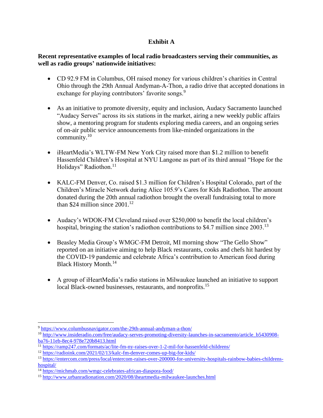## **Exhibit A**

### **Recent representative examples of local radio broadcasters serving their communities, as well as radio groups' nationwide initiatives:**

- CD 92.9 FM in Columbus, OH raised money for various children's charities in Central Ohio through the 29th Annual Andyman-A-Thon, a radio drive that accepted donations in exchange for playing contributors' favorite songs.<sup>9</sup>
- As an initiative to promote diversity, equity and inclusion, Audacy Sacramento launched "Audacy Serves" across its six stations in the market, airing a new weekly public affairs show, a mentoring program for students exploring media careers, and an ongoing series of on-air public service announcements from like-minded organizations in the community.<sup>10</sup>
- iHeartMedia's WLTW-FM New York City raised more than \$1.2 million to benefit Hassenfeld Children's Hospital at NYU Langone as part of its third annual "Hope for the Holidays" Radiothon.<sup>11</sup>
- KALC-FM Denver, Co. raised \$1.3 million for Children's Hospital Colorado, part of the Children's Miracle Network during Alice 105.9's Cares for Kids Radiothon. The amount donated during the 20th annual radiothon brought the overall fundraising total to more than \$24 million since  $2001$ <sup>12</sup>
- Audacy's WDOK-FM Cleveland raised over \$250,000 to benefit the local children's hospital, bringing the station's radiothon contributions to \$4.7 million since 2003.<sup>13</sup>
- Beasley Media Group's WMGC-FM Detroit, MI morning show "The Gello Show" reported on an initiative aiming to help Black restaurants, cooks and chefs hit hardest by the COVID-19 pandemic and celebrate Africa's contribution to American food during Black History Month.<sup>14</sup>
- A group of iHeartMedia's radio stations in Milwaukee launched an initiative to support local Black-owned businesses, restaurants, and nonprofits.<sup>15</sup>

<sup>9</sup> <https://www.columbusnavigator.com/the-29th-annual-andyman-a-thon/>

<sup>&</sup>lt;sup>10</sup> [http://www.insideradio.com/free/audacy-serves-promoting-diversity-launches-in-sacramento/article\\_b5430908](http://www.insideradio.com/free/audacy-serves-promoting-diversity-launches-in-sacramento/article_b5430908-ba76-11eb-8ec4-978e720b8413.html) [ba76-11eb-8ec4-978e720b8413.html](http://www.insideradio.com/free/audacy-serves-promoting-diversity-launches-in-sacramento/article_b5430908-ba76-11eb-8ec4-978e720b8413.html)

<sup>&</sup>lt;sup>11</sup> <https://ramp247.com/formats/ac/lite-fm-ny-raises-over-1-2-mil-for-hassenfeld-childrens/>

<sup>12</sup> <https://radioink.com/2021/02/13/kalc-fm-denver-comes-up-big-for-kids/>

<sup>13</sup> [https://entercom.com/press/local/entercom-raises-over-200000-for-university-hospitals-rainbow-babies-childrens](https://entercom.com/press/local/entercom-raises-over-200000-for-university-hospitals-rainbow-babies-childrens-hospital/)[hospital/](https://entercom.com/press/local/entercom-raises-over-200000-for-university-hospitals-rainbow-babies-childrens-hospital/)

<sup>&</sup>lt;sup>14</sup> <https://michmab.com/wmgc-celebrates-african-diaspora-food/>

<sup>15</sup> <http://www.urbanradionation.com/2020/08/iheartmedia-milwaukee-launches.html>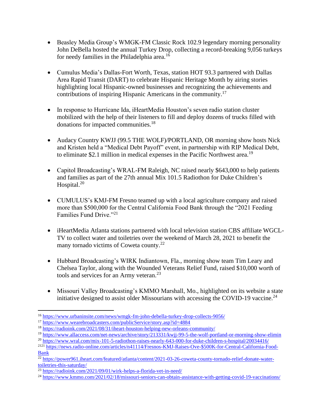- Beasley Media Group's WMGK-FM Classic Rock 102.9 legendary morning personality John DeBella hosted the annual Turkey Drop, collecting a record-breaking 9,056 turkeys for needy families in the Philadelphia area.<sup>16</sup>
- Cumulus Media's Dallas-Fort Worth, Texas, station HOT 93.3 partnered with Dallas Area Rapid Transit (DART) to celebrate Hispanic Heritage Month by airing stories highlighting local Hispanic-owned businesses and recognizing the achievements and contributions of inspiring Hispanic Americans in the community.<sup>17</sup>
- In response to Hurricane Ida, iHeartMedia Houston's seven radio station cluster mobilized with the help of their listeners to fill and deploy dozens of trucks filled with donations for impacted communities.<sup>18</sup>
- Audacy Country KWJJ (99.5 THE WOLF)/PORTLAND, OR morning show hosts Nick and Kristen held a "Medical Debt Payoff" event, in partnership with RIP Medical Debt, to eliminate \$2.1 million in medical expenses in the Pacific Northwest area.<sup>19</sup>
- Capitol Broadcasting's WRAL-FM Raleigh, NC raised nearly \$643,000 to help patients and families as part of the 27th annual Mix 101.5 Radiothon for Duke Children's Hospital.<sup>20</sup>
- CUMULUS's KMJ-FM Fresno teamed up with a local agriculture company and raised more than \$500,000 for the Central California Food Bank through the "2021 Feeding Families Fund Drive."<sup>21</sup>
- iHeartMedia Atlanta stations partnered with local television station CBS affiliate WGCL-TV to collect water and toiletries over the weekend of March 28, 2021 to benefit the many tornado victims of Coweta county.<sup>22</sup>
- Hubbard Broadcasting's WIRK Indiantown, Fla., morning show team Tim Leary and Chelsea Taylor, along with the Wounded Veterans Relief Fund, raised \$10,000 worth of tools and services for an Army veteran.<sup>23</sup>
- Missouri Valley Broadcasting's KMMO Marshall, Mo., highlighted on its website a state initiative designed to assist older Missourians with accessing the COVID-19 vaccine.<sup>24</sup>

<sup>16</sup> <https://www.urbaninsite.com/news/wmgk-fm-john-debella-turkey-drop-collects-9056/>

<sup>&</sup>lt;sup>17</sup> <https://www.wearebroadcasters.com/publicService/story.asp?id=4884>

<sup>18</sup> <https://radioink.com/2021/08/31/iheart-houston-helping-new-orleans-community/>

<sup>&</sup>lt;sup>19</sup> <https://www.allaccess.com/net-news/archive/story/213331/kwjj-99-5-the-wolf-portland-or-morning-show-elimin>

<sup>20</sup> <https://www.wral.com/mix-101-5-radiothon-raises-nearly-643-000-for-duke-children-s-hospital/20034416/>

<sup>&</sup>lt;sup>2121</sup> [https://news.radio-online.com/articles/n41114/Fresnos-KMJ-Raises-Ove-\\$500K-for-Central-California-Food-](https://news.radio-online.com/articles/n41114/Fresnos-KMJ-Raises-Ove-$500K-for-Central-California-Food-Bank)[Bank](https://news.radio-online.com/articles/n41114/Fresnos-KMJ-Raises-Ove-$500K-for-Central-California-Food-Bank)

<sup>22</sup> [https://power961.iheart.com/featured/atlanta/content/2021-03-26-coweta-county-tornado-relief-donate-water](https://power961.iheart.com/featured/atlanta/content/2021-03-26-coweta-county-tornado-relief-donate-water-toiletries-this-saturday/)[toiletries-this-saturday/](https://power961.iheart.com/featured/atlanta/content/2021-03-26-coweta-county-tornado-relief-donate-water-toiletries-this-saturday/)

<sup>&</sup>lt;sup>23</sup> <https://radioink.com/2021/09/01/wirk-helps-a-florida-vet-in-need/>

<sup>&</sup>lt;sup>24</sup> <https://www.kmmo.com/2021/02/18/missouri-seniors-can-obtain-assistance-with-getting-covid-19-vaccinations/>